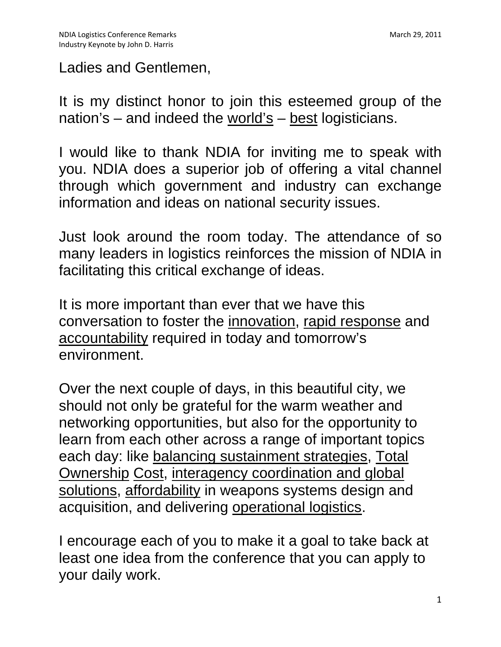#### Ladies and Gentlemen,

It is my distinct honor to join this esteemed group of the nation's – and indeed the world's – best logisticians.

I would like to thank NDIA for inviting me to speak with you. NDIA does a superior job of offering a vital channel through which government and industry can exchange information and ideas on national security issues.

Just look around the room today. The attendance of so many leaders in logistics reinforces the mission of NDIA in facilitating this critical exchange of ideas.

It is more important than ever that we have this conversation to foster the innovation, rapid response and accountability required in today and tomorrow's environment.

Over the next couple of days, in this beautiful city, we should not only be grateful for the warm weather and networking opportunities, but also for the opportunity to learn from each other across a range of important topics each day: like balancing sustainment strategies, Total Ownership Cost, interagency coordination and global solutions, affordability in weapons systems design and acquisition, and delivering operational logistics.

I encourage each of you to make it a goal to take back at least one idea from the conference that you can apply to your daily work.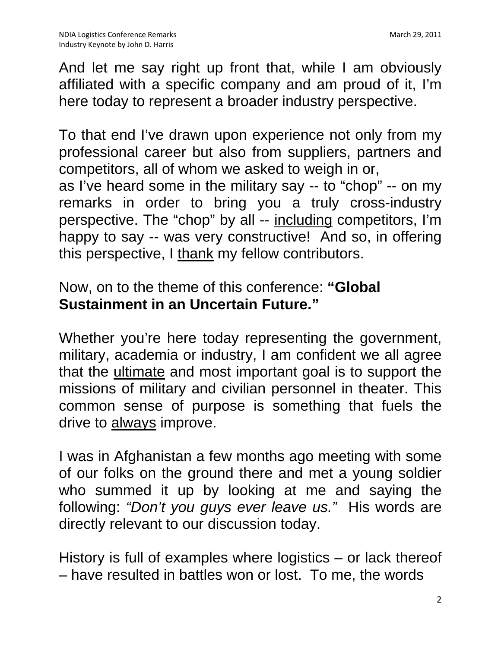And let me say right up front that, while I am obviously affiliated with a specific company and am proud of it, I'm here today to represent a broader industry perspective.

To that end I've drawn upon experience not only from my professional career but also from suppliers, partners and competitors, all of whom we asked to weigh in or, as I've heard some in the military say -- to "chop" -- on my remarks in order to bring you a truly cross-industry perspective. The "chop" by all -- including competitors, I'm happy to say -- was very constructive! And so, in offering this perspective, I thank my fellow contributors.

## Now, on to the theme of this conference: **"Global Sustainment in an Uncertain Future."**

Whether you're here today representing the government, military, academia or industry, I am confident we all agree that the ultimate and most important goal is to support the missions of military and civilian personnel in theater. This common sense of purpose is something that fuels the drive to always improve.

I was in Afghanistan a few months ago meeting with some of our folks on the ground there and met a young soldier who summed it up by looking at me and saying the following: *"Don't you guys ever leave us."* His words are directly relevant to our discussion today.

History is full of examples where logistics – or lack thereof – have resulted in battles won or lost. To me, the words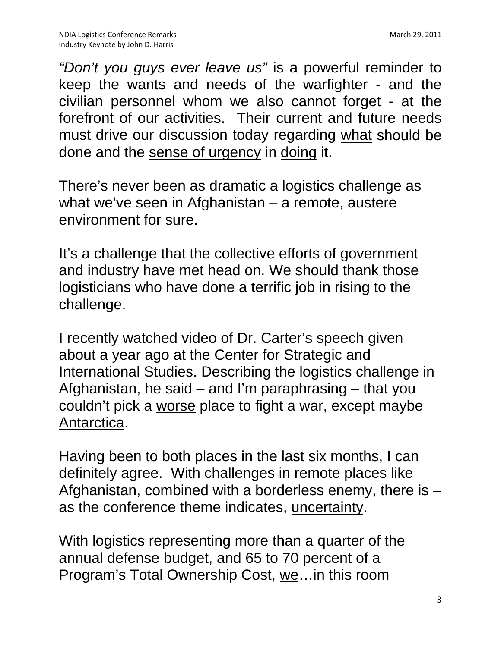*"Don't you guys ever leave us"* is a powerful reminder to keep the wants and needs of the warfighter - and the civilian personnel whom we also cannot forget - at the forefront of our activities. Their current and future needs must drive our discussion today regarding what should be done and the sense of urgency in doing it.

There's never been as dramatic a logistics challenge as what we've seen in Afghanistan – a remote, austere environment for sure.

It's a challenge that the collective efforts of government and industry have met head on. We should thank those logisticians who have done a terrific job in rising to the challenge.

I recently watched video of Dr. Carter's speech given about a year ago at the Center for Strategic and International Studies. Describing the logistics challenge in Afghanistan, he said – and I'm paraphrasing – that you couldn't pick a worse place to fight a war, except maybe Antarctica.

Having been to both places in the last six months, I can definitely agree. With challenges in remote places like Afghanistan, combined with a borderless enemy, there is – as the conference theme indicates, uncertainty.

With logistics representing more than a quarter of the annual defense budget, and 65 to 70 percent of a Program's Total Ownership Cost, we…in this room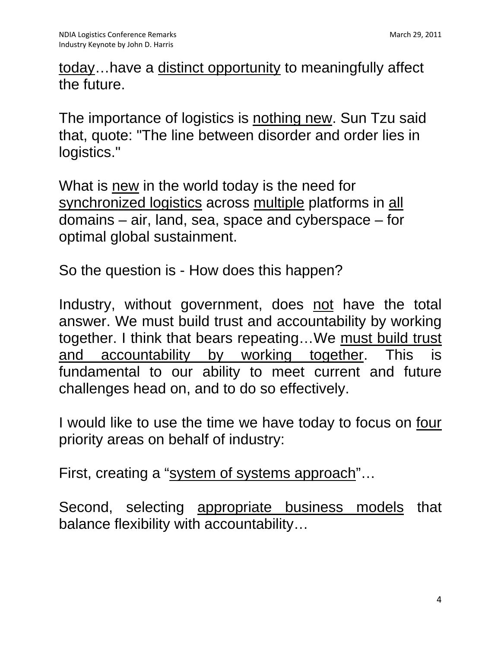today…have a distinct opportunity to meaningfully affect the future.

The importance of logistics is nothing new. Sun Tzu said that, quote: "The line between disorder and order lies in logistics."

What is new in the world today is the need for synchronized logistics across multiple platforms in all domains – air, land, sea, space and cyberspace – for optimal global sustainment.

So the question is - How does this happen?

Industry, without government, does not have the total answer. We must build trust and accountability by working together. I think that bears repeating…We must build trust and accountability by working together. This is fundamental to our ability to meet current and future challenges head on, and to do so effectively.

I would like to use the time we have today to focus on four priority areas on behalf of industry:

First, creating a "system of systems approach"...

Second, selecting appropriate business models that balance flexibility with accountability…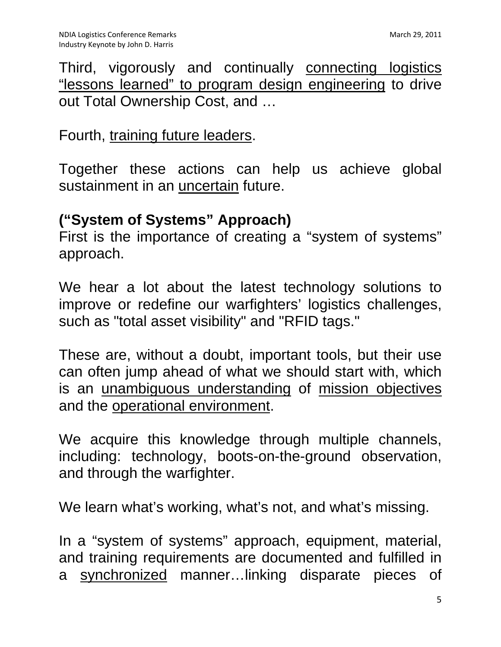Third, vigorously and continually connecting logistics "lessons learned" to program design engineering to drive out Total Ownership Cost, and …

### Fourth, training future leaders.

Together these actions can help us achieve global sustainment in an uncertain future.

## **("System of Systems" Approach)**

First is the importance of creating a "system of systems" approach.

We hear a lot about the latest technology solutions to improve or redefine our warfighters' logistics challenges, such as "total asset visibility" and "RFID tags."

These are, without a doubt, important tools, but their use can often jump ahead of what we should start with, which is an unambiguous understanding of mission objectives and the operational environment.

We acquire this knowledge through multiple channels, including: technology, boots-on-the-ground observation, and through the warfighter.

We learn what's working, what's not, and what's missing.

In a "system of systems" approach, equipment, material, and training requirements are documented and fulfilled in a synchronized manner…linking disparate pieces of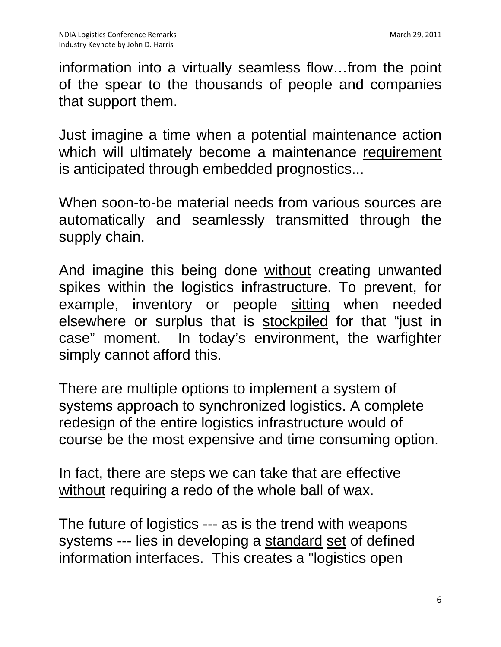information into a virtually seamless flow…from the point of the spear to the thousands of people and companies that support them.

Just imagine a time when a potential maintenance action which will ultimately become a maintenance requirement is anticipated through embedded prognostics...

When soon-to-be material needs from various sources are automatically and seamlessly transmitted through the supply chain.

And imagine this being done without creating unwanted spikes within the logistics infrastructure. To prevent, for example, inventory or people sitting when needed elsewhere or surplus that is stockpiled for that "just in case" moment. In today's environment, the warfighter simply cannot afford this.

There are multiple options to implement a system of systems approach to synchronized logistics. A complete redesign of the entire logistics infrastructure would of course be the most expensive and time consuming option.

In fact, there are steps we can take that are effective without requiring a redo of the whole ball of wax.

The future of logistics --- as is the trend with weapons systems --- lies in developing a standard set of defined information interfaces. This creates a "logistics open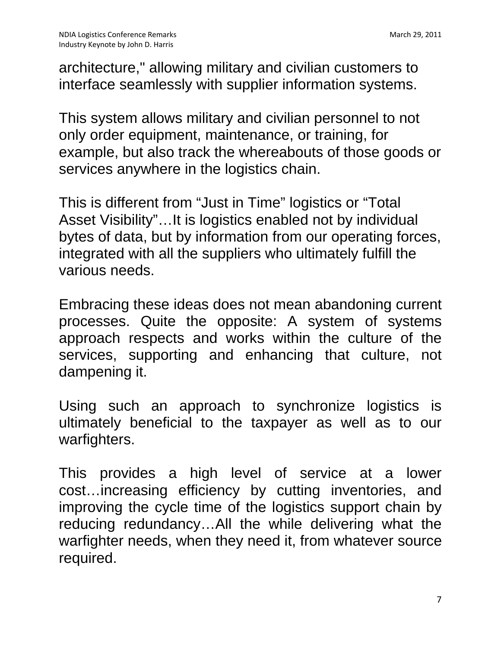architecture," allowing military and civilian customers to interface seamlessly with supplier information systems.

This system allows military and civilian personnel to not only order equipment, maintenance, or training, for example, but also track the whereabouts of those goods or services anywhere in the logistics chain.

This is different from "Just in Time" logistics or "Total Asset Visibility"…It is logistics enabled not by individual bytes of data, but by information from our operating forces, integrated with all the suppliers who ultimately fulfill the various needs.

Embracing these ideas does not mean abandoning current processes. Quite the opposite: A system of systems approach respects and works within the culture of the services, supporting and enhancing that culture, not dampening it.

Using such an approach to synchronize logistics is ultimately beneficial to the taxpayer as well as to our warfighters.

This provides a high level of service at a lower cost…increasing efficiency by cutting inventories, and improving the cycle time of the logistics support chain by reducing redundancy…All the while delivering what the warfighter needs, when they need it, from whatever source required.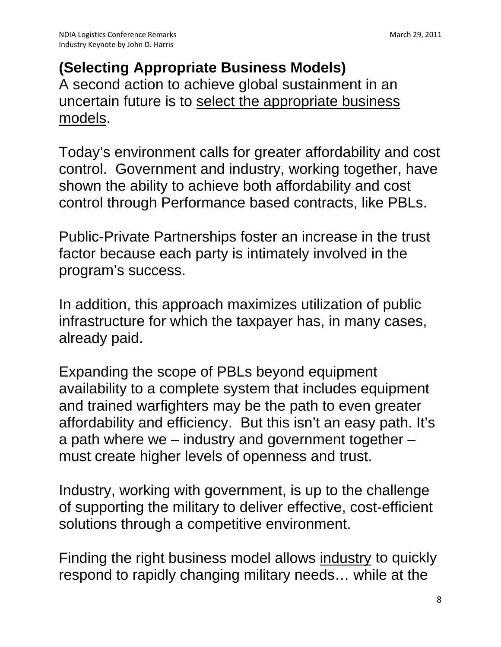# **(Selecting Appropriate Business Models)**

A second action to achieve global sustainment in an uncertain future is to select the appropriate business models.

Today's environment calls for greater affordability and cost control. Government and industry, working together, have shown the ability to achieve both affordability and cost control through Performance based contracts, like PBLs.

Public-Private Partnerships foster an increase in the trust factor because each party is intimately involved in the program's success.

In addition, this approach maximizes utilization of public infrastructure for which the taxpayer has, in many cases, already paid.

Expanding the scope of PBLs beyond equipment availability to a complete system that includes equipment and trained warfighters may be the path to even greater affordability and efficiency. But this isn't an easy path. It's a path where we – industry and government together – must create higher levels of openness and trust.

Industry, working with government, is up to the challenge of supporting the military to deliver effective, cost-efficient solutions through a competitive environment.

Finding the right business model allows industry to quickly respond to rapidly changing military needs… while at the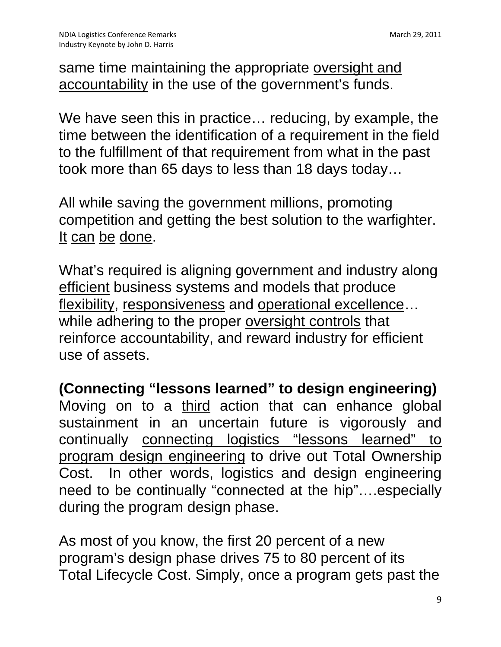same time maintaining the appropriate oversight and accountability in the use of the government's funds.

We have seen this in practice… reducing, by example, the time between the identification of a requirement in the field to the fulfillment of that requirement from what in the past took more than 65 days to less than 18 days today…

All while saving the government millions, promoting competition and getting the best solution to the warfighter. It can be done.

What's required is aligning government and industry along efficient business systems and models that produce flexibility, responsiveness and operational excellence... while adhering to the proper oversight controls that reinforce accountability, and reward industry for efficient use of assets.

**(Connecting "lessons learned" to design engineering)**  Moving on to a third action that can enhance global sustainment in an uncertain future is vigorously and continually connecting logistics "lessons learned" to program design engineering to drive out Total Ownership Cost. In other words, logistics and design engineering need to be continually "connected at the hip"....especially during the program design phase.

As most of you know, the first 20 percent of a new program's design phase drives 75 to 80 percent of its Total Lifecycle Cost. Simply, once a program gets past the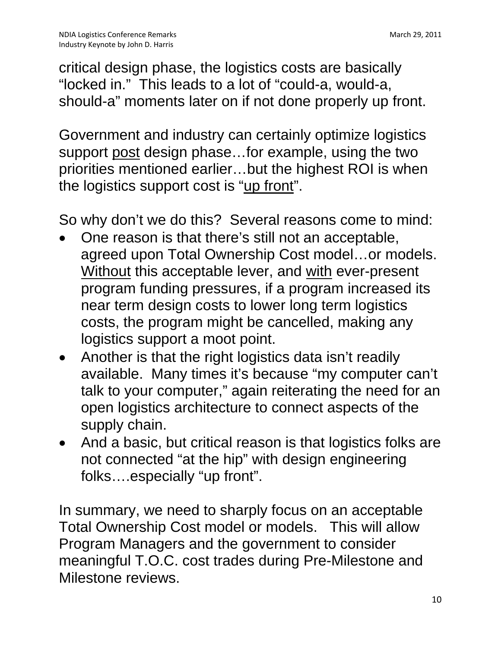critical design phase, the logistics costs are basically "locked in." This leads to a lot of "could-a, would-a, should-a" moments later on if not done properly up front.

Government and industry can certainly optimize logistics support post design phase…for example, using the two priorities mentioned earlier…but the highest ROI is when the logistics support cost is "up front".

So why don't we do this? Several reasons come to mind:

- One reason is that there's still not an acceptable, agreed upon Total Ownership Cost model…or models. Without this acceptable lever, and with ever-present program funding pressures, if a program increased its near term design costs to lower long term logistics costs, the program might be cancelled, making any logistics support a moot point.
- Another is that the right logistics data isn't readily available. Many times it's because "my computer can't talk to your computer," again reiterating the need for an open logistics architecture to connect aspects of the supply chain.
- And a basic, but critical reason is that logistics folks are not connected "at the hip" with design engineering folks….especially "up front".

In summary, we need to sharply focus on an acceptable Total Ownership Cost model or models. This will allow Program Managers and the government to consider meaningful T.O.C. cost trades during Pre-Milestone and Milestone reviews.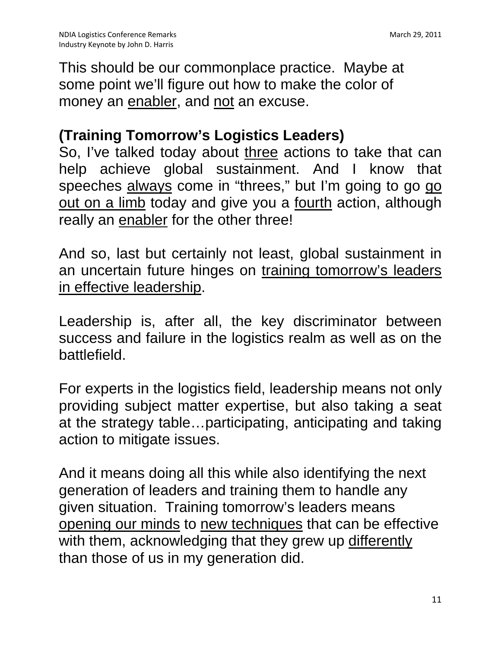This should be our commonplace practice. Maybe at some point we'll figure out how to make the color of money an enabler, and not an excuse.

### **(Training Tomorrow's Logistics Leaders)**

So, I've talked today about three actions to take that can help achieve global sustainment. And I know that speeches always come in "threes," but I'm going to go go out on a limb today and give you a <u>fourth</u> action, although really an enabler for the other three!

And so, last but certainly not least, global sustainment in an uncertain future hinges on training tomorrow's leaders in effective leadership.

Leadership is, after all, the key discriminator between success and failure in the logistics realm as well as on the battlefield.

For experts in the logistics field, leadership means not only providing subject matter expertise, but also taking a seat at the strategy table…participating, anticipating and taking action to mitigate issues.

And it means doing all this while also identifying the next generation of leaders and training them to handle any given situation. Training tomorrow's leaders means opening our minds to new techniques that can be effective with them, acknowledging that they grew up differently than those of us in my generation did.